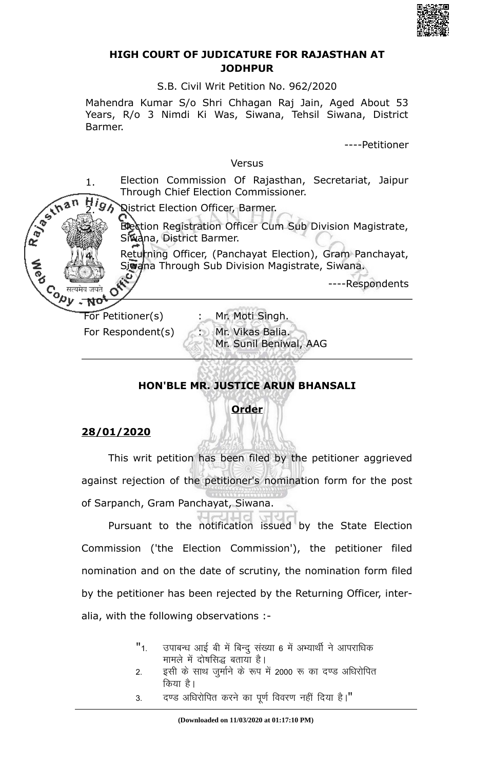

### **HIGH COURT OF JUDICATURE FOR RAJASTHAN AT JODHPUR**

S.B. Civil Writ Petition No. 962/2020

Mahendra Kumar S/o Shri Chhagan Raj Jain, Aged About 53 Years, R/o 3 Nimdi Ki Was, Siwana, Tehsil Siwana, District Barmer.

----Petitioner

#### Versus

1. Election Commission Of Rajasthan, Secretariat, Jaipur R. P. S. In a n Through Chief Election Commissioner.

High Qistrict Election Officer, Barmer.

Election Registration Officer Cum Sub Division Magistrate, Siwana, District Barmer.

Returning Officer, (Panchayat Election), Gram Panchayat, Siwana Through Sub Division Magistrate, Siwana.

----Respondents

Content of the Second of Text of the Singh.<br>
For Petitioner(s) For Petitioner(s) 3. Mr. Moti Singh.

O

No,

**A**<br>Pa

For Respondent(s) : Mr. Vikas Balia. Mr. Sunil Beniwal, AAG

# **HON'BLE MR. JUSTICE ARUN BHANSALI**

## **Order**

## **28/01/2020**

This writ petition has been filed by the petitioner aggrieved against rejection of the petitioner's nomination form for the post of Sarpanch, Gram Panchayat, Siwana.

Pursuant to the notification issued by the State Election Commission ('the Election Commission'), the petitioner filed nomination and on the date of scrutiny, the nomination form filed by the petitioner has been rejected by the Returning Officer, interalia, with the following observations :-

- "1. जपाबन्ध आई बी में बिन्दु संख्या 6 में अभ्यार्थी ने आपराधिक मामले में दोषसिद्ध बताया है।
- 2. व्हसी के साथ जुर्माने के रूप में 2000 रू का दण्ड अधिरोपित किया है।
- 3. दण्ड अधिरोपित करने का पूर्ण विवरण नहीं दिया है।"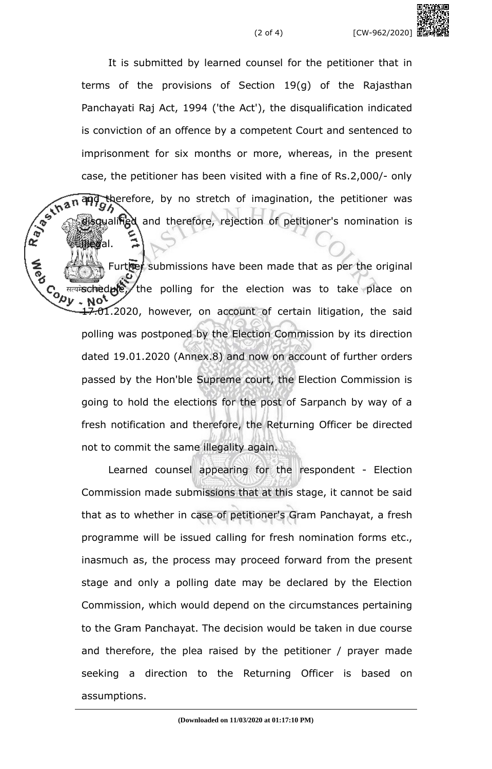It is submitted by learned counsel for the petitioner that in terms of the provisions of Section 19(g) of the Rajasthan Panchayati Raj Act, 1994 ('the Act'), the disqualification indicated is conviction of an offence by a competent Court and sentenced to imprisonment for six months or more, whereas, in the present case, the petitioner has been visited with a fine of Rs.2,000/- only<br>  $\sqrt{2}$ <br>  $\sqrt{2}$ <br>  $\sqrt{3}$ <br>  $\sqrt{2}$ <br>  $\sqrt{3}$ <br>  $\sqrt{3}$ <br>  $\sqrt{3}$ <br>  $\sqrt{3}$ <br>  $\sqrt{3}$ <br>  $\sqrt{3}$ <br>  $\sqrt{3}$ <br>  $\sqrt{3}$ <br>  $\sqrt{3}$ <br>  $\sqrt{3}$ <br>  $\sqrt{3}$ <br>  $\sqrt{3}$ <br>  $\sqrt{3}$ and therefore, by no stretch of imagination, the petitioner was ualified and therefore, rejection of petitioner's nomination is

illegal.

Further submissions have been made that as per the original  $\frac{1}{2}$  are independently the polling for the election was to take place on 17.01.2020, however, on account of certain litigation, the said polling was postponed by the Election Commission by its direction dated 19.01.2020 (Annex.8) and now on account of further orders passed by the Hon'ble Supreme court, the Election Commission is going to hold the elections for the post of Sarpanch by way of a fresh notification and therefore, the Returning Officer be directed not to commit the same illegality again.

Learned counsel appearing for the respondent - Election Commission made submissions that at this stage, it cannot be said that as to whether in case of petitioner's Gram Panchayat, a fresh programme will be issued calling for fresh nomination forms etc., inasmuch as, the process may proceed forward from the present stage and only a polling date may be declared by the Election Commission, which would depend on the circumstances pertaining to the Gram Panchayat. The decision would be taken in due course and therefore, the plea raised by the petitioner / prayer made seeking a direction to the Returning Officer is based on assumptions.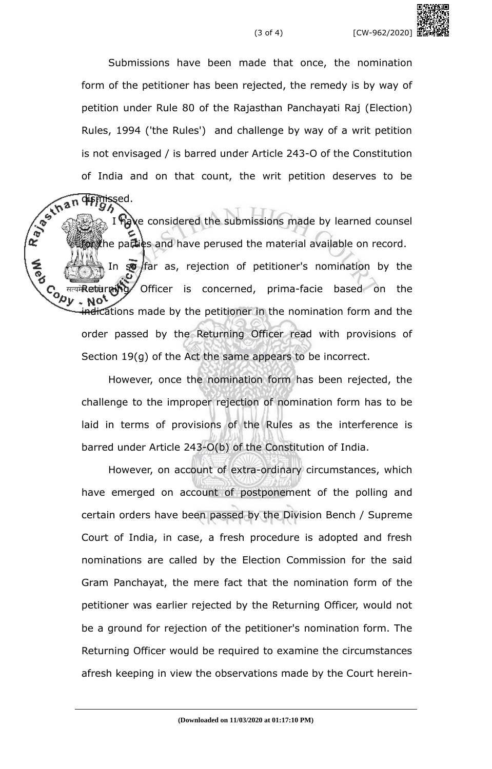Submissions have been made that once, the nomination form of the petitioner has been rejected, the remedy is by way of petition under Rule 80 of the Rajasthan Panchayati Raj (Election) Rules, 1994 ('the Rules') and challenge by way of a writ petition is not envisaged / is barred under Article 243-O of the Constitution

of India and on that count, the writ petition deserves to be<br>  $\frac{1}{2}$ <br>  $\frac{1}{2}$ <br>  $\frac{1}{2}$ <br>  $\frac{1}{2}$ <br>  $\frac{1}{2}$ <br>  $\frac{1}{2}$ <br>  $\frac{1}{2}$ <br>  $\frac{1}{2}$ <br>  $\frac{1}{2}$ <br>  $\frac{1}{2}$ <br>  $\frac{1}{2}$ <br>  $\frac{1}{2}$ <br>  $\frac{1}{2}$ <br>  $\frac{1}{2}$ <br>  $\frac{1$ dismissed. have considered the submissions made by learned counsel or the parties and have perused the material available on record. In  $\infty$  far as, rejection of petitioner's nomination by the Contention of the Concerned, prima-facie based on the concerned, prima-facie based on the content of the indications made by the petitioner in the nomination form and the order passed by the Returning Officer read with provisions of Section 19(g) of the Act the same appears to be incorrect.

> However, once the nomination form has been rejected, the challenge to the improper rejection of nomination form has to be laid in terms of provisions of the Rules as the interference is barred under Article 243-O(b) of the Constitution of India.

> However, on account of extra-ordinary circumstances, which have emerged on account of postponement of the polling and certain orders have been passed by the Division Bench / Supreme Court of India, in case, a fresh procedure is adopted and fresh nominations are called by the Election Commission for the said Gram Panchayat, the mere fact that the nomination form of the petitioner was earlier rejected by the Returning Officer, would not be a ground for rejection of the petitioner's nomination form. The Returning Officer would be required to examine the circumstances afresh keeping in view the observations made by the Court herein-